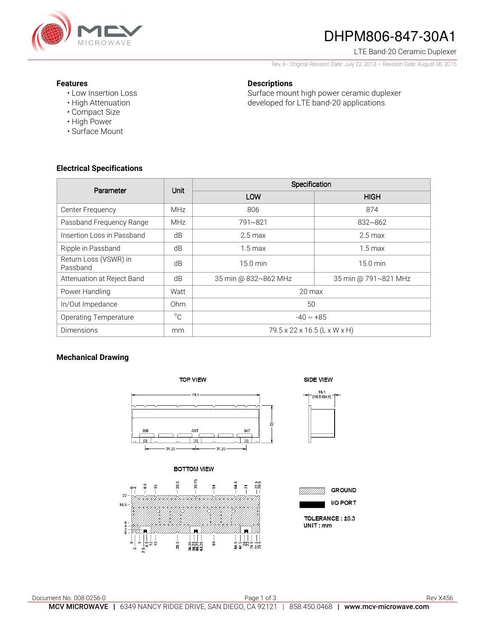

# DHPM806-847-30A1

LTE Band-20 Ceramic Duplexer

Rev 3– Original Revision Date: July 22, 2013 – Revision Date: August 06, 2015

Surface mount high power ceramic duplexer developed for LTE band-20 applications.

### **Features**

- Low Insertion Loss
- High Attenuation
- Compact Size
- High Power
- Surface Mount

### **Electrical Specifications**

| Parameter                         | Unit            | Specification                |                      |
|-----------------------------------|-----------------|------------------------------|----------------------|
|                                   |                 | LOW                          | <b>HIGH</b>          |
| Center Frequency                  | <b>MHz</b>      | 806                          | 874                  |
| Passband Frequency Range          | <b>MHz</b>      | 791~821                      | $832 - 862$          |
| Insertion Loss in Passband        | dB              | $2.5 \,\mathrm{max}$         | $2.5 \,\mathrm{max}$ |
| Ripple in Passband                | dB              | $1.5 \,\mathrm{max}$         | $1.5 \,\mathrm{max}$ |
| Return Loss (VSWR) in<br>Passband | dB              | $15.0 \text{ min}$           | $15.0 \text{ min}$   |
| Attenuation at Reject Band        | dB              | 35 min @ 832~862 MHz         | 35 min @ 791~821 MHz |
| Power Handling                    | Watt            | $20 \text{ max}$             |                      |
| In/Out Impedance                  | 0 <sub>hm</sub> | 50                           |                      |
| <b>Operating Temperature</b>      | $^{\circ}C$     | $-40 \sim +85$               |                      |
| <b>Dimensions</b>                 | mm              | 79.5 x 22 x 16.5 (L x W x H) |                      |

**Descriptions** 

### **Mechanical Drawing**

**TOP VIEW** 

79.5  $\overline{2}$ 847 ाज  $\overline{\mathbb{R}}$  $-31.25$  $-31.25$ 

**BOTTOM VIEW** 



SIDE VIEW



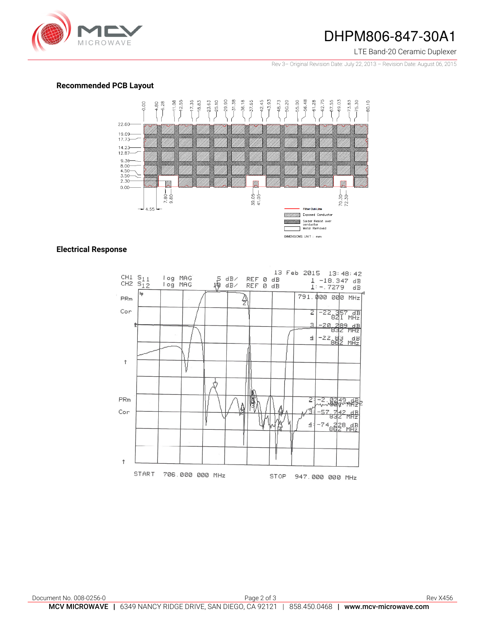

### DHPM806-847-30A1

LTE Band-20 Ceramic Duplexer

Rev 3– Original Revision Date: July 22, 2013 – Revision Date: August 06, 2015

#### **Recommended PCB Layout**



### **Electrical Response**